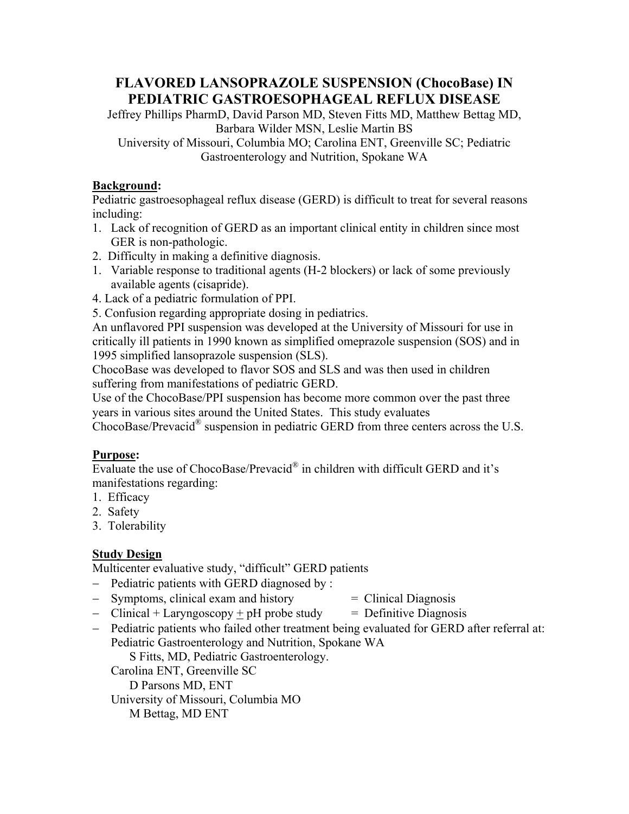# **FLAVORED LANSOPRAZOLE SUSPENSION (ChocoBase) IN PEDIATRIC GASTROESOPHAGEAL REFLUX DISEASE**

Jeffrey Phillips PharmD, David Parson MD, Steven Fitts MD, Matthew Bettag MD, Barbara Wilder MSN, Leslie Martin BS University of Missouri, Columbia MO; Carolina ENT, Greenville SC; Pediatric

Gastroenterology and Nutrition, Spokane WA

### **Background:**

Pediatric gastroesophageal reflux disease (GERD) is difficult to treat for several reasons including:

- 1. Lack of recognition of GERD as an important clinical entity in children since most GER is non-pathologic.
- 2. Difficulty in making a definitive diagnosis.
- 1. Variable response to traditional agents (H-2 blockers) or lack of some previously available agents (cisapride).
- 4. Lack of a pediatric formulation of PPI.
- 5. Confusion regarding appropriate dosing in pediatrics.

An unflavored PPI suspension was developed at the University of Missouri for use in critically ill patients in 1990 known as simplified omeprazole suspension (SOS) and in 1995 simplified lansoprazole suspension (SLS).

ChocoBase was developed to flavor SOS and SLS and was then used in children suffering from manifestations of pediatric GERD.

Use of the ChocoBase/PPI suspension has become more common over the past three years in various sites around the United States. This study evaluates

ChocoBase/Prevacid® suspension in pediatric GERD from three centers across the U.S.

# **Purpose:**

Evaluate the use of ChocoBase/Prevacid® in children with difficult GERD and it's manifestations regarding:

- 1. Efficacy
- 2. Safety
- 3. Tolerability

# **Study Design**

Multicenter evaluative study, "difficult" GERD patients

- Pediatric patients with GERD diagnosed by :
- $-$  Symptoms, clinical exam and history  $=$  Clinical Diagnosis
	-
- Clinical + Laryngoscopy  $\pm$  pH probe study = Definitive Diagnosis
	-
- Pediatric patients who failed other treatment being evaluated for GERD after referral at: Pediatric Gastroenterology and Nutrition, Spokane WA

S Fitts, MD, Pediatric Gastroenterology.

Carolina ENT, Greenville SC

D Parsons MD, ENT

University of Missouri, Columbia MO

M Bettag, MD ENT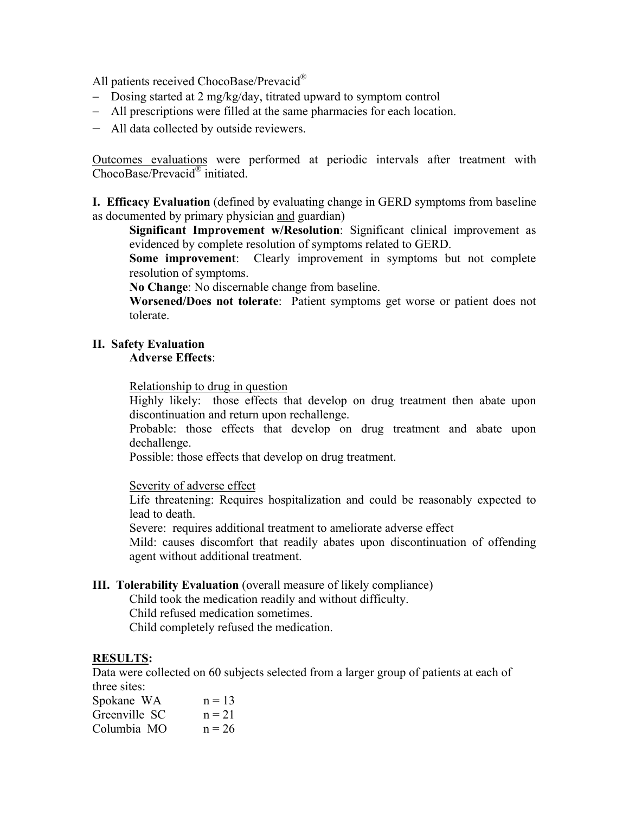All patients received ChocoBase/Prevacid<sup>®</sup>

- Dosing started at 2 mg/kg/day, titrated upward to symptom control
- All prescriptions were filled at the same pharmacies for each location.
- All data collected by outside reviewers.

Outcomes evaluations were performed at periodic intervals after treatment with ChocoBase/Prevacid® initiated.

**I. Efficacy Evaluation** (defined by evaluating change in GERD symptoms from baseline as documented by primary physician and guardian)

**Significant Improvement w/Resolution**: Significant clinical improvement as evidenced by complete resolution of symptoms related to GERD.

**Some improvement**: Clearly improvement in symptoms but not complete resolution of symptoms.

**No Change**: No discernable change from baseline.

**Worsened/Does not tolerate**: Patient symptoms get worse or patient does not tolerate.

#### **II. Safety Evaluation**

#### **Adverse Effects**:

Relationship to drug in question

Highly likely: those effects that develop on drug treatment then abate upon discontinuation and return upon rechallenge.

Probable: those effects that develop on drug treatment and abate upon dechallenge.

Possible: those effects that develop on drug treatment.

Severity of adverse effect

Life threatening: Requires hospitalization and could be reasonably expected to lead to death.

Severe: requires additional treatment to ameliorate adverse effect

Mild: causes discomfort that readily abates upon discontinuation of offending agent without additional treatment.

#### **III. Tolerability Evaluation** (overall measure of likely compliance)

Child took the medication readily and without difficulty. Child refused medication sometimes. Child completely refused the medication.

#### **RESULTS:**

Data were collected on 60 subjects selected from a larger group of patients at each of three sites:

| Spokane WA    | $n = 13$ |
|---------------|----------|
| Greenville SC | $n = 21$ |
| Columbia MO   | $n = 26$ |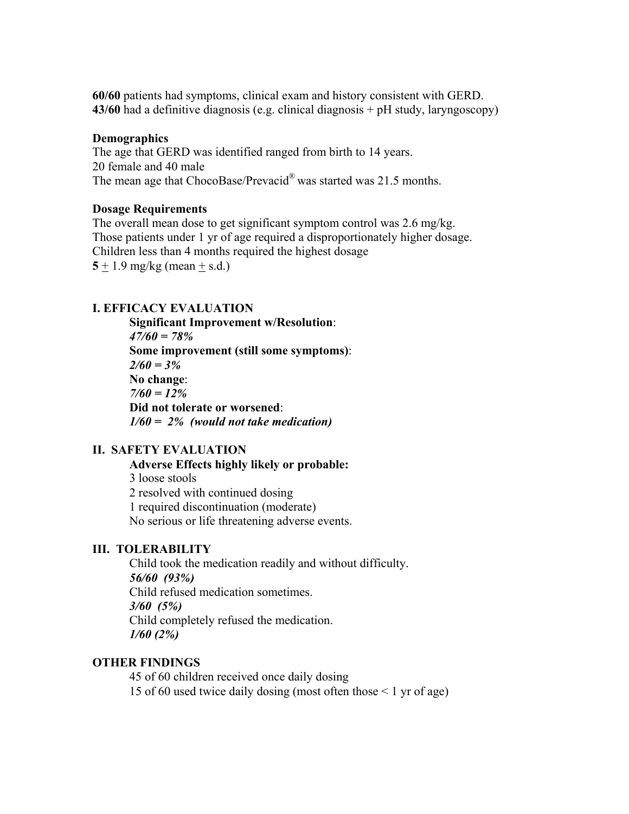**60/60** patients had symptoms, clinical exam and history consistent with GERD. **43/60** had a definitive diagnosis (e.g. clinical diagnosis + pH study, laryngoscopy)

#### **Demographics**

The age that GERD was identified ranged from birth to 14 years. 20 female and 40 male The mean age that ChocoBase/Prevacid<sup>®</sup> was started was 21.5 months.

#### **Dosage Requirements**

The overall mean dose to get significant symptom control was 2.6 mg/kg. Those patients under 1 yr of age required a disproportionately higher dosage. Children less than 4 months required the highest dosage  $5 \pm 1.9$  mg/kg (mean  $\pm$  s.d.)

#### **I. EFFICACY EVALUATION**

**Significant Improvement w/Resolution**: *47/60 = 78%* **Some improvement (still some symptoms)**: *2/60 = 3%* **No change**: *7/60 = 12%*  **Did not tolerate or worsened**: *1/60 = 2% (would not take medication)* 

#### **II. SAFETY EVALUATION**

**Adverse Effects highly likely or probable:** 3 loose stools 2 resolved with continued dosing 1 required discontinuation (moderate) No serious or life threatening adverse events.

#### **III. TOLERABILITY**

Child took the medication readily and without difficulty. *56/60 (93%)* Child refused medication sometimes. *3/60 (5%)* Child completely refused the medication. *1/60 (2%)*

#### **OTHER FINDINGS**

45 of 60 children received once daily dosing 15 of 60 used twice daily dosing (most often those < 1 yr of age)